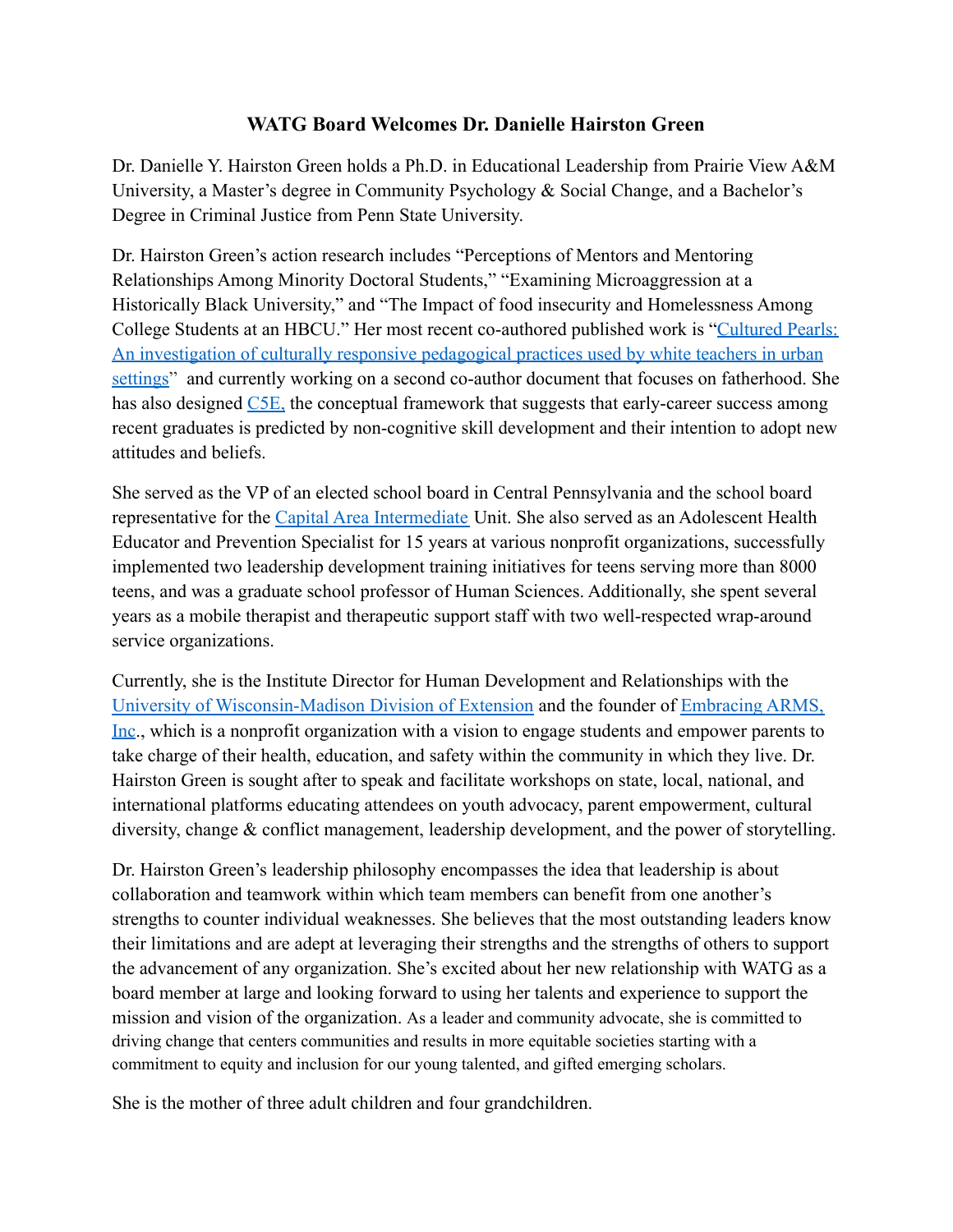## **WATG Board Welcomes Dr. Danielle Hairston Green**

Dr. Danielle Y. Hairston Green holds a Ph.D. in Educational Leadership from Prairie View A&M University, a Master's degree in Community Psychology & Social Change, and a Bachelor's Degree in Criminal Justice from Penn State University.

Dr. Hairston Green's action research includes "Perceptions of Mentors and Mentoring Relationships Among Minority Doctoral Students," "Examining Microaggression at a Historically Black University," and "The Impact of food insecurity and Homelessness Among College Students at an HBCU." Her most recent co-authored published work is "[Cultured Pearls:](https://books.google.com/books?hl=en&lr=&id=q5_LDwAAQBAJ&oi=fnd&pg=PA35&dq=info:WLSr9MzYUJIJ:scholar.google.com/&ots=GlJV-_dBfa&sig=czp8nFAaFm4Brnepq2T_xKdhbZg#v=onepage&q&f=false) [An investigation of culturally responsive pedagogical practices used by white teachers in urban](https://books.google.com/books?hl=en&lr=&id=q5_LDwAAQBAJ&oi=fnd&pg=PA35&dq=info:WLSr9MzYUJIJ:scholar.google.com/&ots=GlJV-_dBfa&sig=czp8nFAaFm4Brnepq2T_xKdhbZg#v=onepage&q&f=false) [settings"](https://books.google.com/books?hl=en&lr=&id=q5_LDwAAQBAJ&oi=fnd&pg=PA35&dq=info:WLSr9MzYUJIJ:scholar.google.com/&ots=GlJV-_dBfa&sig=czp8nFAaFm4Brnepq2T_xKdhbZg#v=onepage&q&f=false) and currently working on a second co-author document that focuses on fatherhood. She has also designed [C5E](https://embracingarms.com/blog/f/early-career-success), the conceptual framework that suggests that early-career success among recent graduates is predicted by non-cognitive skill development and their intention to adopt new attitudes and beliefs.

She served as the VP of an elected school board in Central Pennsylvania and the school board representative for the [Capital Area Intermediate](https://www.caiu.org/) Unit. She also served as an Adolescent Health Educator and Prevention Specialist for 15 years at various nonprofit organizations, successfully implemented two leadership development training initiatives for teens serving more than 8000 teens, and was a graduate school professor of Human Sciences. Additionally, she spent several years as a mobile therapist and therapeutic support staff with two well-respected wrap-around service organizations.

Currently, she is the Institute Director for Human Development and Relationships with the [University of Wisconsin-Madison Division of Extension](https://extension.wisc.edu/) and the founder of [Embracing ARMS,](https://embracingarms.com/) [Inc](https://embracingarms.com/)., which is a nonprofit organization with a vision to engage students and empower parents to take charge of their health, education, and safety within the community in which they live. Dr. Hairston Green is sought after to speak and facilitate workshops on state, local, national, and international platforms educating attendees on youth advocacy, parent empowerment, cultural diversity, change & conflict management, leadership development, and the power of storytelling.

Dr. Hairston Green's leadership philosophy encompasses the idea that leadership is about collaboration and teamwork within which team members can benefit from one another's strengths to counter individual weaknesses. She believes that the most outstanding leaders know their limitations and are adept at leveraging their strengths and the strengths of others to support the advancement of any organization. She's excited about her new relationship with WATG as a board member at large and looking forward to using her talents and experience to support the mission and vision of the organization. As a leader and community advocate, she is committed to driving change that centers communities and results in more equitable societies starting with a commitment to equity and inclusion for our young talented, and gifted emerging scholars.

She is the mother of three adult children and four grandchildren.